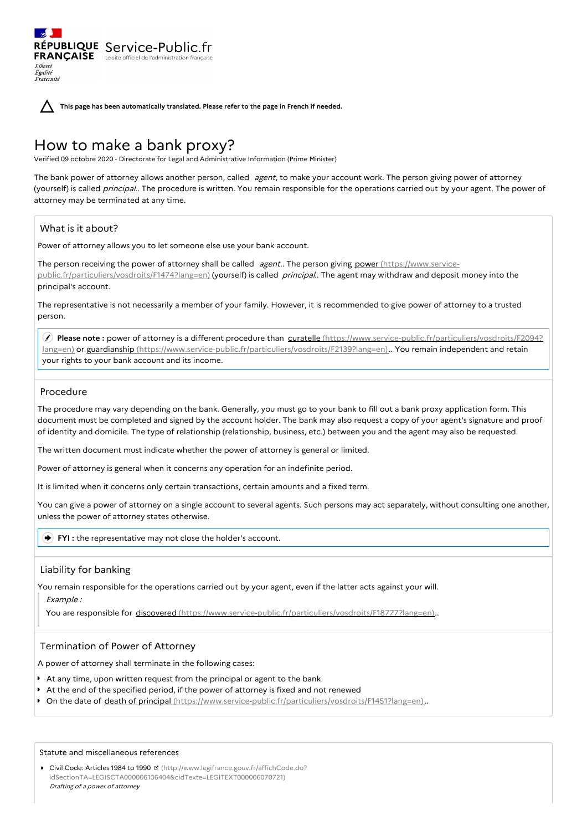**This page has been automatically translated. Please refer to the page in French if needed.**

# How to make a bank proxy?

RÉPUBLIQUE Service-Public.fr **FRANÇAISE** Le site officiel de l'administration fran

Verified 09 octobre 2020 - Directorate for Legal and Administrative Information (Prime Minister)

The bank power of attorney allows another person, called agent, to make your account work. The person giving power of attorney (yourself) is called *principal*.. The procedure is written. You remain responsible for the operations carried out by your agent. The power of attorney may be terminated at any time.

# What is it about?

Liberté Égalité Fraternité

Power of attorney allows you to let someone else use your bank account.

The person receiving the power of attorney shall be called agent.. The person giving power (https://www.service[public.fr/particuliers/vosdroits/F1474?lang=en\)](https://www.service-public.fr/particuliers/vosdroits/F1474?lang=en) (yourself) is called principal.. The agent may withdraw and deposit money into the principal's account.

The representative is not necessarily a member of your family. However, it is recommended to give power of attorney to a trusted person.

 **Please note :** power of attorney is a different procedure than curatelle (https://www.service-public.fr/particuliers/vosdroits/F2094? lang=en) or guardianship [\(https://www.service-public.fr/particuliers/vosdroits/F2139?lang=en\)..](https://www.service-public.fr/particuliers/vosdroits/F2094?lang=en) You remain independent and retain your rights to your bank account and its income.

# Procedure

The procedure may vary depending on the bank. Generally, you must go to your bank to fill out a bank proxy application form. This document must be completed and signed by the account holder. The bank may also request a copy of your agent's signature and proof of identity and domicile. The type of relationship (relationship, business, etc.) between you and the agent may also be requested.

The written document must indicate whether the power of attorney is general or limited.

Power of attorney is general when it concerns any operation for an indefinite period.

It is limited when it concerns only certain transactions, certain amounts and a fixed term.

You can give a power of attorney on a single account to several agents. Such persons may act separately, without consulting one another, unless the power of attorney states otherwise.

#### **FYI** : the representative may not close the holder's account.

# Liability for banking

You remain responsible for the operations carried out by your agent, even if the latter acts against your will. Example :

You are responsible for discovered [\(https://www.service-public.fr/particuliers/vosdroits/F18777?lang=en\)](https://www.service-public.fr/particuliers/vosdroits/F18777?lang=en)..

# Termination of Power of Attorney

A power of attorney shall terminate in the following cases:

- At any time, upon written request from the principal or agent to the bank
- At the end of the specified period, if the power of attorney is fixed and not renewed
- On the date of death of principal [\(https://www.service-public.fr/particuliers/vosdroits/F1451?lang=en\)](https://www.service-public.fr/particuliers/vosdroits/F1451?lang=en).

#### Statute and miscellaneous references

● Civil Code: Articles 1984 to 1990 **d** (http://www.legifrance.gouv.fr/affichCode.do? [idSectionTA=LEGISCTA000006136404&cidTexte=LEGITEXT000006070721\)](http://www.legifrance.gouv.fr/affichCode.do?idSectionTA=LEGISCTA000006136404&cidTexte=LEGITEXT000006070721) Drafting of <sup>a</sup> power of attorney